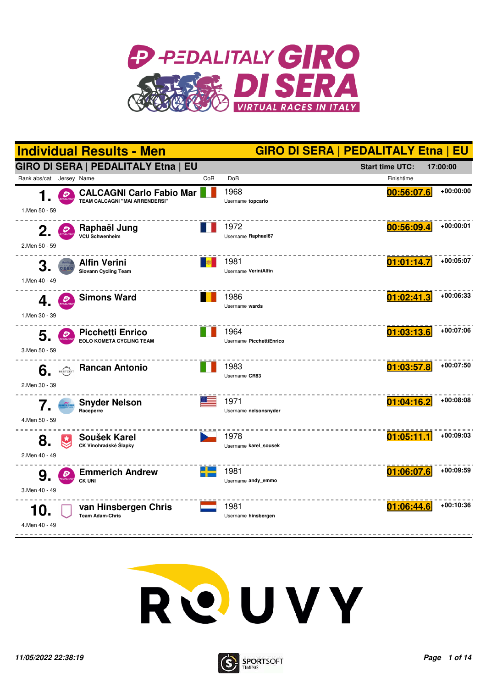





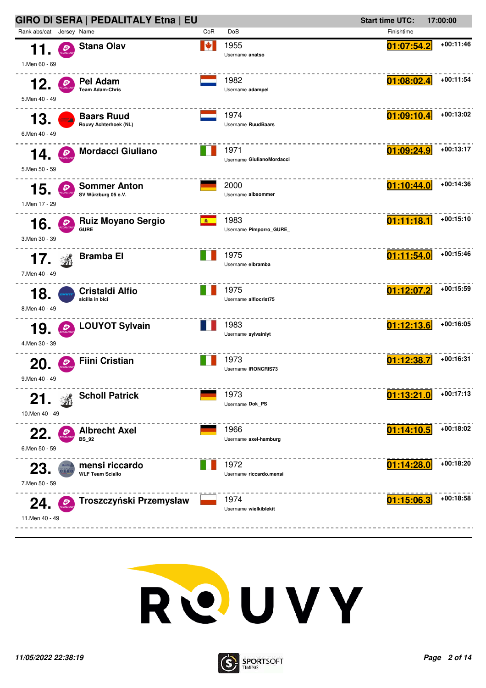



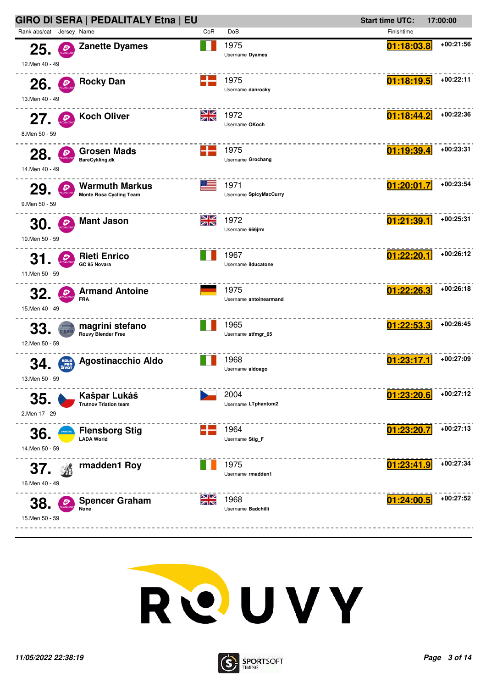



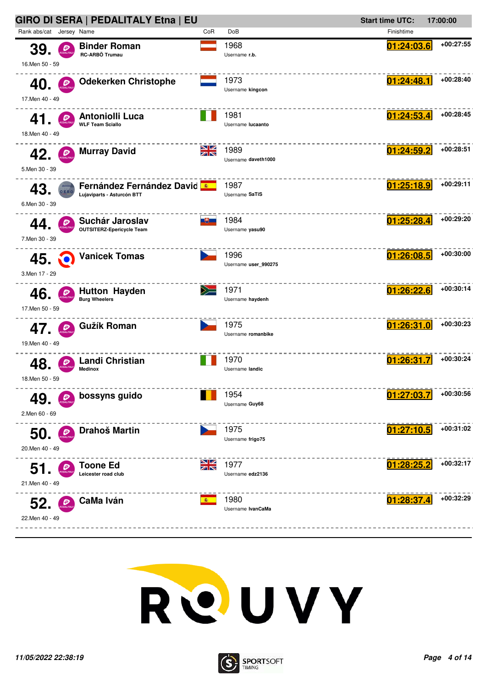



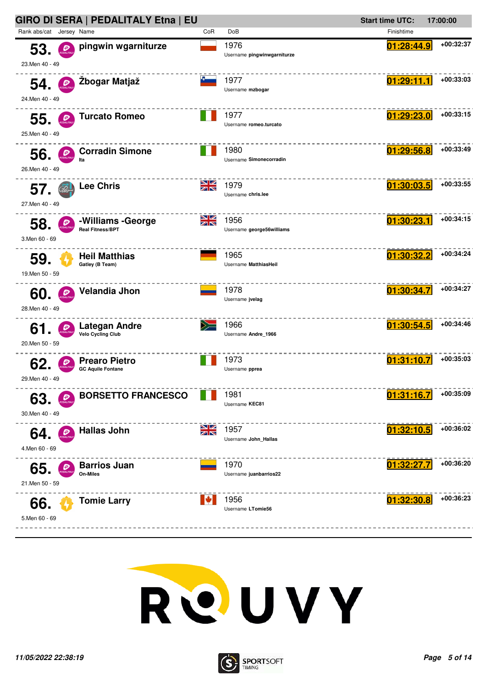



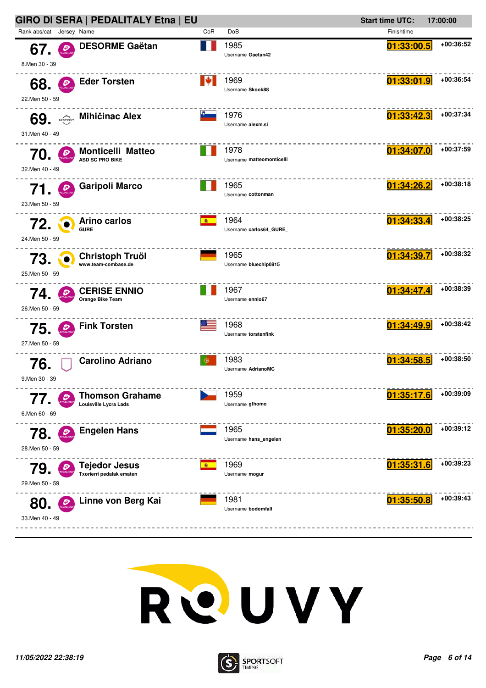



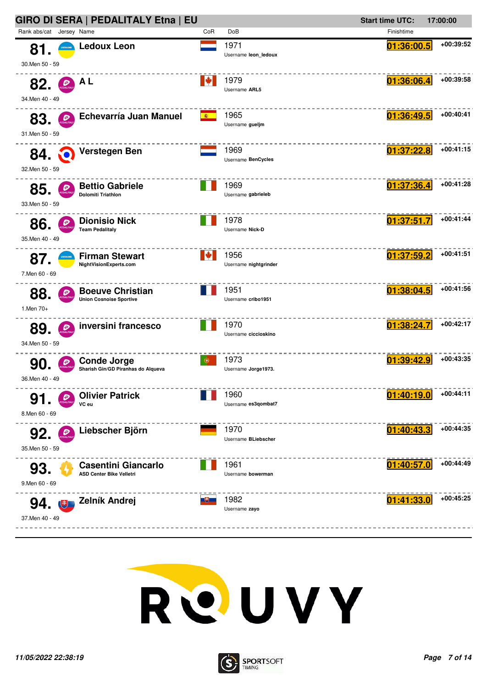| GIRO DI SERA   PEDALITALY Etna   EU                      |                                                               |     | <b>Start time UTC:</b><br>17:00:00 |            |             |
|----------------------------------------------------------|---------------------------------------------------------------|-----|------------------------------------|------------|-------------|
| Rank abs/cat Jersey Name                                 |                                                               | CoR | DoB                                | Finishtime |             |
| 81.<br><b>JKRAINE</b><br>30.Men 50 - 59                  | <b>Ledoux Leon</b>                                            |     | 1971<br>Username leon ledoux       | 01:36:00.5 | +00:39:52   |
| 82.<br>$\mathcal{P}_{\text{2DALITAL}}$<br>34.Men 40 - 49 | A L                                                           | ▮◆  | 1979<br>Username ARL5              | 01:36:06.4 | +00:39:58   |
| 83.<br>31.Men 50 - 59                                    | Echevarría Juan Manuel                                        | 图   | 1965<br>Username quelim            | 01:36:49.5 | +00:40:41   |
| <b>84. Q</b><br>32.Men 50 - 59                           | Verstegen Ben                                                 |     | 1969<br>Username BenCycles         | 01:37:22.8 | $+00:41:15$ |
| 85<br>33.Men 50 - 59                                     | <b>Bettio Gabriele</b><br><b>Dolomiti Triathlon</b>           |     | 1969<br>Username gabrieleb         | 01:37:36.4 | +00:41:28   |
| 86.<br>35. Men 40 - 49                                   | <b>Dionisio Nick</b><br><b>Team Pedalitaly</b>                |     | 1978<br>Username Nick-D            | 01:37:51.7 | $+00:41:44$ |
| 87.<br>7.Men 60 - 69                                     | <b>Firman Stewart</b><br>NightVisionExperts.com               | ▮₩  | 1956<br>Username nightgrinder      | 01:37:59.2 | +00:41:51   |
| 88.<br>1.Men 70+                                         | <b>Boeuve Christian</b><br><b>Union Cosnoise Sportive</b>     |     | 1951<br>Username cribo1951         | 01:38:04.5 | +00:41:56   |
| Đ<br>89.<br>34.Men 50 - 59                               | inversini francesco                                           |     | 1970<br>Username ciccioskino       | 01:38:24.7 | +00:42:17   |
| 90<br>36.Men 40 - 49                                     | <b>Conde Jorge</b><br>Sharish Gin/GD Piranhas do Alqueva      | 6.  | 1973<br>Username Jorge1973.        | 01:39:42.9 | +00:43:35   |
| 91<br>8.Men 60 - 69                                      | <b>Olivier Patrick</b><br>VC eu                               |     | 1960<br>Username es3qombat7        | 01:40:19.0 | +00:44:11   |
| 92.<br>Đ<br>35.Men 50 - 59                               | Liebscher Björn                                               |     | 1970<br>Username BLiebscher        | 01:40:43.3 | +00:44:35   |
| 93.<br>9.Men 60 - 69                                     | <b>Casentini Giancarlo</b><br><b>ASD Center Bike Velletri</b> |     | 1961<br>Username bowerman          | 01:40:57.0 | $+00:44:49$ |
| 94. 电<br>37.Men 40 - 49                                  | Zelník Andrej                                                 |     | 1982<br>Username zayo              | 01:41:33.0 | $+00:45:25$ |



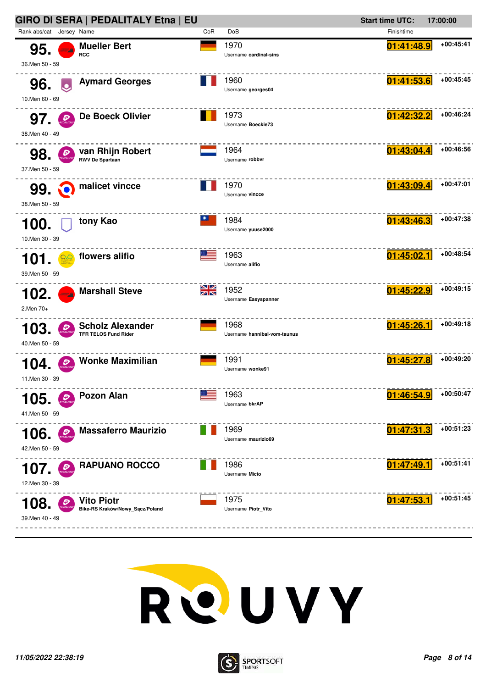|                          |                         | GIRO DI SERA   PEDALITALY Etna   EU                    |                 |                                      | <b>Start time UTC:</b> | 17:00:00    |
|--------------------------|-------------------------|--------------------------------------------------------|-----------------|--------------------------------------|------------------------|-------------|
| Rank abs/cat Jersey Name |                         |                                                        | CoR             | DoB                                  | Finishtime             |             |
| 95.<br>36.Men 50 - 59    |                         | <b>Mueller Bert</b><br><b>RCC</b>                      |                 | 1970<br>Username cardinal-sins       | 01:41:48.9             | $+00:45:41$ |
| 96.<br>10.Men 60 - 69    | $\overline{\mathbf{c}}$ | <b>Aymard Georges</b>                                  |                 | 1960<br>Username georges04           | 01:41:53.6             | +00:45:45   |
| 97.<br>38.Men 40 - 49    |                         | De Boeck Olivier                                       |                 | 1973<br>Username Boeckie73           | 01:42:32.2             | $+00:46:24$ |
| 98.<br>37. Men 50 - 59   |                         | van Rhijn Robert<br><b>RWV De Spartaan</b>             |                 | 1964<br>Username robbvr              | 01:43:04.4             | +00:46:56   |
| 99. C<br>38.Men 50 - 59  |                         | malicet vincce                                         |                 | 1970<br>Username vincce              | 01:43:09.4             | +00:47:01   |
| 100.<br>10.Men 30 - 39   |                         | tony Kao                                               |                 | 1984<br>Username yuuse2000           | 01:43:46.3             | +00:47:38   |
| 101<br>39. Men 50 - 59   |                         | flowers alifio                                         |                 | 1963<br>Username alifio              | 01:45:02.1             | +00:48:54   |
| 102.<br>2.Men 70+        |                         | <b>Marshall Steve</b>                                  | <u>NZ</u><br>ZN | 1952<br>Username Easyspanner         | 01:45:22.9             | $+00:49:15$ |
| 103<br>40.Men 50 - 59    | Đ                       | <b>Scholz Alexander</b><br><b>TFR TELOS Fund Rider</b> |                 | 1968<br>Username hannibal-vom-taunus | 01:45:26.1             | $+00:49:18$ |
| 104<br>11.Men 30 - 39    |                         | <b>Wonke Maximilian</b>                                |                 | 1991<br>Username wonke91             | 01:45:27.8             | $+00:49:20$ |
| 105.<br>41.Men 50 - 59   |                         | <b>Pozon Alan</b>                                      |                 | 1963<br>Username bkrAP               | 01:46:54.9             | +00:50:47   |
| 106.<br>42.Men 50 - 59   | Đ                       | <b>Massaferro Maurizio</b>                             |                 | 1969<br>Username maurizio69          | 01:47:31.3             | $+00:51:23$ |
| 107.<br>12.Men 30 - 39   |                         | <b>RAPUANO ROCCO</b>                                   |                 | 1986<br>Username Micio               | 01:47:49.1             | $+00:51:41$ |
| 108<br>39.Men 40 - 49    |                         | Vito Piotr<br>Bike-RS Kraków/Nowy_Sącz/Poland          |                 | 1975<br>Username Piotr_Vito          | 01:47:53.1             | +00:51:45   |



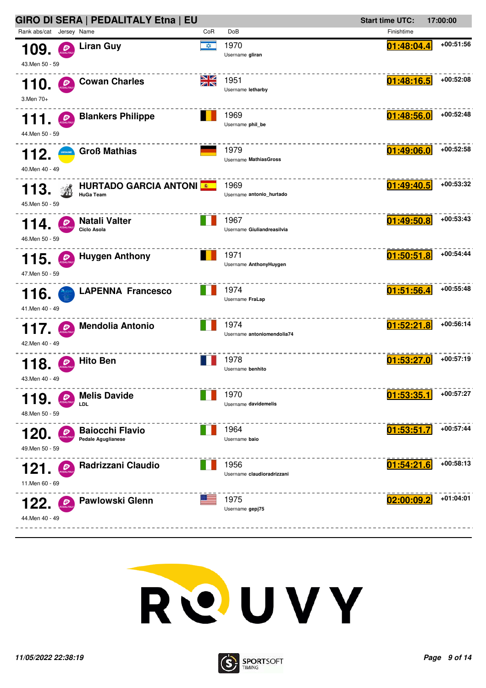| GIRO DI SERA   PEDALITALY Etna   EU                                           |           |                                    | <b>Start time UTC:</b><br>17:00:00 |             |
|-------------------------------------------------------------------------------|-----------|------------------------------------|------------------------------------|-------------|
| Rank abs/cat Jersey Name                                                      | CoR       | DoB                                | Finishtime                         |             |
| <b>Liran Guy</b><br>109.<br>Đ<br>43.Men 50 - 59                               | <b>XX</b> | 1970<br>Username gliran            | <u>01:48:04.4</u>                  | +00:51:56   |
| <b>Cowan Charles</b><br>110.<br>$\mathcal{P}_{\text{max}}$<br>3.Men 70+       | ▧▨<br>ZK  | 1951<br>Username letharby          | 01:48:16.5                         | +00:52:08   |
| <b>Blankers Philippe</b><br>111.<br>Đ<br>44.Men 50 - 59                       |           | 1969<br>Username phil_be           | 01:48:56.0                         | +00:52:48   |
| <b>Groß Mathias</b><br>112.<br>40.Men 40 - 49                                 |           | 1979<br>Username Mathias Gross     | 01:49:06.0                         | +00:52:58   |
| <b>HURTADO GARCIA ANTONI</b><br>113.<br><b>HuGa Team</b><br>45.Men 50 - 59    |           | 1969<br>Username antonio_hurtado   | 01:49:40.5                         | +00:53:32   |
| Natali Valter<br>114.<br>Ciclo Asola<br>46.Men 50 - 59                        |           | 1967<br>Username Giuliandreasilvia | 01:49:50.8                         | $+00:53:43$ |
| <b>Huygen Anthony</b><br>$\bigoplus$<br>115.<br>47.Men 50 - 59                |           | 1971<br>Username AnthonyHuygen     | <u>01:50:51.8</u>                  | +00:54:44   |
| <b>LAPENNA Francesco</b><br>116.<br>41.Men 40 - 49                            |           | 1974<br>Username FraLap            | 01:51:56.4                         | $+00:55:48$ |
| <b>Mendolia Antonio</b><br>Đ<br>117.<br>42.Men 40 - 49                        |           | 1974<br>Username antoniomendolia74 | 01:52:21.8                         | $+00:56:14$ |
| <b>Hito Ben</b><br>8<br>43.Men 40 - 49                                        |           | 1978<br>Username benhito           | 01:53:27.0                         | $+00:57:19$ |
| <b>Melis Davide</b><br>119.<br>LDL<br>48.Men 50 - 59                          |           | 1970<br>Username davidemelis       | 01:53:35.1                         | +00:57:27   |
| <b>Baiocchi Flavio</b><br>120.<br><b>Pedale Aguglianese</b><br>49.Men 50 - 59 |           | 1964<br>Username baio              | 01:53:51<br>.7                     | +00:57:44   |
| Radrizzani Claudio<br>121.<br>P<br>11.Men 60 - 69                             |           | 1956<br>Username claudioradrizzani | 01:54:21.6                         | $+00:58:13$ |
| <b>Pawlowski Glenn</b><br>122.<br>44.Men 40 - 49                              |           | 1975<br>Username gepj75            | 02:00:09.2                         | $+01:04:01$ |



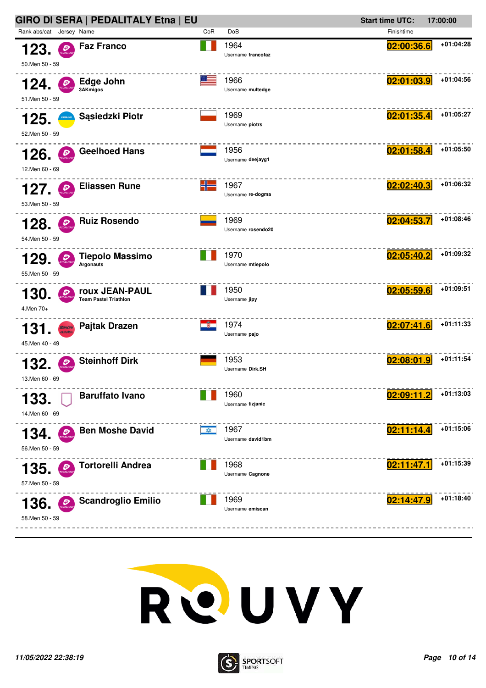| GIRO DI SERA   PEDALITALY Etna   EU                                        |           |                            | <b>Start time UTC:</b><br>17:00:00 |             |
|----------------------------------------------------------------------------|-----------|----------------------------|------------------------------------|-------------|
| Rank abs/cat Jersey Name                                                   | CoR       | DoB                        | Finishtime                         |             |
| <b>Faz Franco</b><br>123.<br>$\mathcal{D}$<br>50. Men 50 - 59              |           | 1964<br>Username francofaz | 02:00:36.6                         | +01:04:28   |
| Edge John<br>Đ<br>124.<br>3AKmigos<br>51.Men 50 - 59                       | ma e      | 1966<br>Username multedge  | 02:01:03.9                         | +01:04:56   |
| Sąsiedzki Piotr<br>125.<br>52.Men 50 - 59                                  |           | 1969<br>Username piotrs    | 02:01:35.4                         | +01:05:27   |
| <b>Geelhoed Hans</b><br>126.<br>Đ<br>12.Men 60 - 69                        |           | 1956<br>Username deejayg1  | 02:01:58.4                         | +01:05:50   |
| <b>Eliassen Rune</b><br>127.<br>53. Men 50 - 59                            | $-1$      | 1967<br>Username re-dogma  | 02:02:40.3                         | +01:06:32   |
| <b>Ruiz Rosendo</b><br>128.<br>54.Men 50 - 59                              |           | 1969<br>Username rosendo20 | 02:04:53.7                         | $+01:08:46$ |
| <b>Tiepolo Massimo</b><br>129.<br>Argonauts<br>55. Men 50 - 59             |           | 1970<br>Username mtiepolo  | 02:05:40.2                         | +01:09:32   |
| roux JEAN-PAUL<br>130.<br><b>Team Pastel Triathlon</b><br>4.Men 70+        |           | 1950<br>Username jipy      | 02:05:59.6                         | +01:09:51   |
| <b>Pajtak Drazen</b><br>Santini<br>131<br><b>Wiekler</b><br>45.Men 40 - 49 |           | 1974<br>Username pajo      | 02:07:41.6                         | +01:11:33   |
| <b>Steinhoff Dirk</b><br>132.<br>13.Men 60 - 69                            |           | 1953<br>Username Dirk.SH   | 02:08:01.9                         | +01:11:54   |
| <b>Baruffato Ivano</b><br>133.<br>14.Men 60 - 69                           |           | 1960<br>Username tizjanic  | 02:09:11.2                         | +01:13:03   |
| <b>Ben Moshe David</b><br>134.<br>Đ<br>56.Men 50 - 59                      | <b>XX</b> | 1967<br>Username david1bm  | 02:11:14.4                         | +01:15:06   |
| Tortorelli Andrea<br>135.<br>57.Men 50 - 59                                |           | 1968<br>Username Cagnone   | 02:11:47.1                         | +01:15:39   |
| <b>Scandroglio Emilio</b><br>136.<br>P<br>58.Men 50 - 59                   |           | 1969<br>Username emiscan   | 02:14:47.9                         | +01:18:40   |



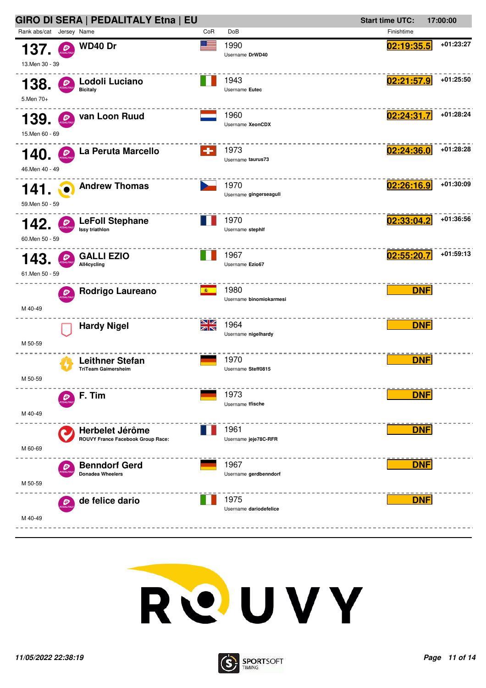



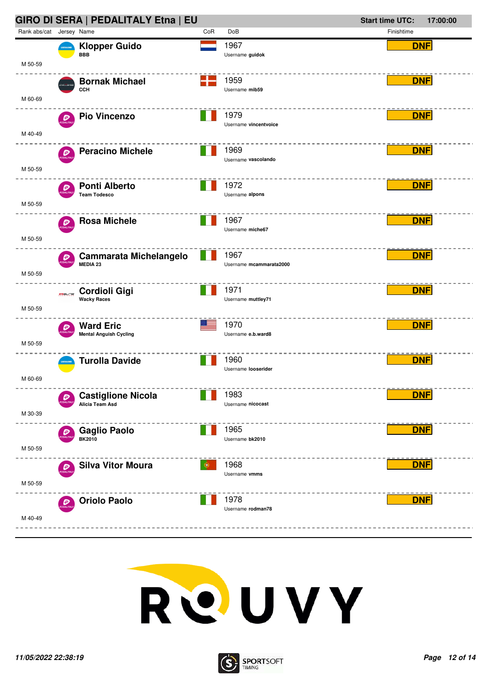



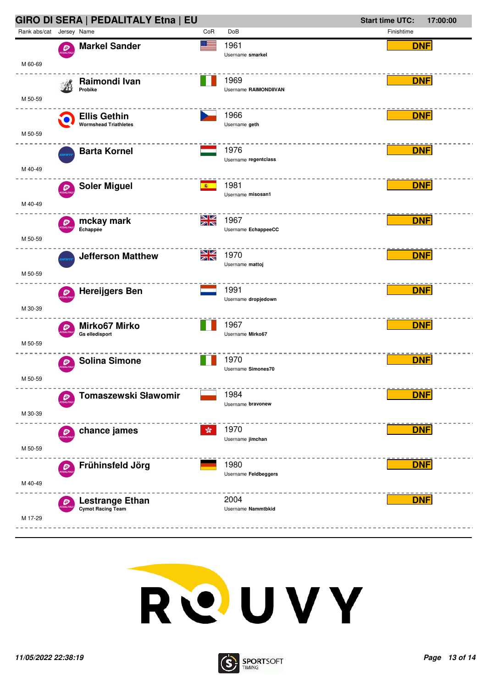